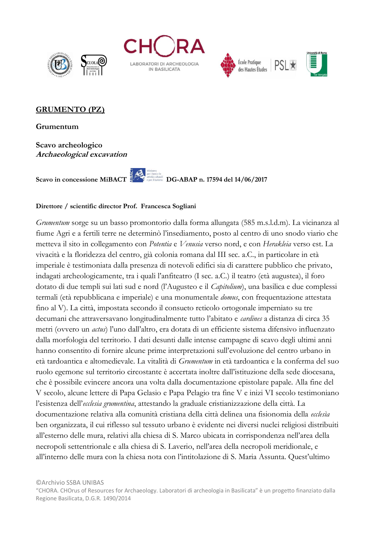





## **GRUMENTO (PZ)**

**Grumentum**

**Scavo archeologico Archaeological excavation**

Scavo in concessione MiBACT

## **Direttore / scientific director Prof. Francesca Sogliani**

*Grumentum* sorge su un basso promontorio dalla forma allungata (585 m.s.l.d.m). La vicinanza al fiume Agri e a fertili terre ne determinò l'insediamento, posto al centro di uno snodo viario che metteva il sito in collegamento con *Potentia* e *Venusia* verso nord, e con *Herakleia* verso est. La vivacità e la floridezza del centro, già colonia romana dal III sec. a.C., in particolare in età imperiale è testimoniata dalla presenza di notevoli edifici sia di carattere pubblico che privato, indagati archeologicamente, tra i quali l'anfiteatro (I sec. a.C.) il teatro (età augustea), il foro dotato di due templi sui lati sud e nord (l'Augusteo e il *Capitolium*), una basilica e due complessi termali (età repubblicana e imperiale) e una monumentale *domus*, con frequentazione attestata fino al V). La città, impostata secondo il consueto reticolo ortogonale imperniato su tre decumani che attraversavano longitudinalmente tutto l'abitato e *cardines* a distanza di circa 35 metri (ovvero un *actus*) l'uno dall'altro, era dotata di un efficiente sistema difensivo influenzato dalla morfologia del territorio. I dati desunti dalle intense campagne di scavo degli ultimi anni hanno consentito di fornire alcune prime interpretazioni sull'evoluzione del centro urbano in età tardoantica e altomedievale. La vitalità di *Grumentum* in età tardoantica e la conferma del suo ruolo egemone sul territorio circostante è accertata inoltre dall'istituzione della sede diocesana, che è possibile evincere ancora una volta dalla documentazione epistolare papale. Alla fine del V secolo, alcune lettere di Papa Gelasio e Papa Pelagio tra fine V e inizi VI secolo testimoniano l'esistenza dell'*ecclesia grumentina*, attestando la graduale cristianizzazione della città. La documentazione relativa alla comunità cristiana della città delinea una fisionomia della *ecclesìa*  ben organizzata, il cui riflesso sul tessuto urbano è evidente nei diversi nuclei religiosi distribuiti all'esterno delle mura, relativi alla chiesa di S. Marco ubicata in corrispondenza nell'area della necropoli settentrionale e alla chiesa di S. Laverio, nell'area della necropoli meridionale, e all'interno delle mura con la chiesa nota con l'intitolazione di S. Maria Assunta. Quest'ultimo

<sup>&</sup>quot;CHORA. CHOrus of Resources for Archaeology. Laboratori di archeologia in Basilicata" è un progetto finanziato dalla Regione Basilicata, D.G.R. 1490/2014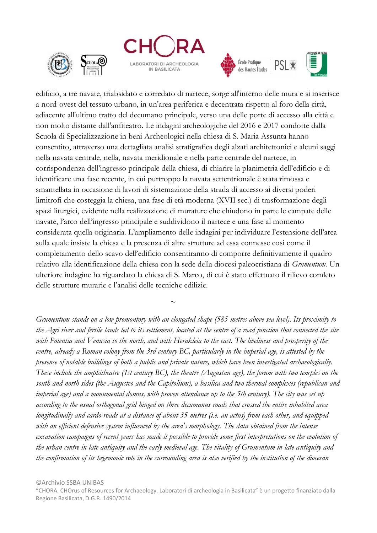







edificio, a tre navate, triabsidato e corredato di nartece, sorge all'interno delle mura e si inserisce a nord-ovest del tessuto urbano, in un'area periferica e decentrata rispetto al foro della città, adiacente all'ultimo tratto del decumano principale, verso una delle porte di accesso alla città e non molto distante dall'anfiteatro. Le indagini archeologiche del 2016 e 2017 condotte dalla Scuola di Specializzazione in beni Archeologici nella chiesa di S. Maria Assunta hanno consentito, attraverso una dettagliata analisi stratigrafica degli alzati architettonici e alcuni saggi nella navata centrale, nella, navata meridionale e nella parte centrale del nartece, in corrispondenza dell'ingresso principale della chiesa, di chiarire la planimetria dell'edificio e di identificare una fase recente, in cui purtroppo la navata settentrionale è stata rimossa e smantellata in occasione di lavori di sistemazione della strada di accesso ai diversi poderi limitrofi che costeggia la chiesa, una fase di età moderna (XVII sec.) di trasformazione degli spazi liturgici, evidente nella realizzazione di murature che chiudono in parte le campate delle navate, l'arco dell'ingresso principale e suddividono il nartece e una fase al momento considerata quella originaria. L'ampliamento delle indagini per individuare l'estensione dell'area sulla quale insiste la chiesa e la presenza di altre strutture ad essa connesse così come il completamento dello scavo dell'edificio consentiranno di comporre definitivamente il quadro relativo alla identificazione della chiesa con la sede della diocesi paleocristiana di *Grumentum.* Un ulteriore indagine ha riguardato la chiesa di S. Marco, di cui è stato effettuato il rilievo comleto delle strutture murarie e l'analisi delle tecniche edilizie.

*Grumentum stands on a low promontory with an elongated shape (585 metres above sea level). Its proximity to the Agri river and fertile lands led to its settlement, located at the centre of a road junction that connected the site with Potentia and Venusia to the north, and with Herakleia to the east. The liveliness and prosperity of the centre, already a Roman colony from the 3rd century BC, particularly in the imperial age, is attested by the presence of notable buildings of both a public and private nature, which have been investigated archaeologically. These include the amphitheatre (1st century BC), the theatre (Augustan age), the forum with two temples on the south and north sides (the Augusteo and the Capitolium), a basilica and two thermal complexes (republican and imperial age) and a monumental domus, with proven attendance up to the 5th century). The city was set up according to the usual orthogonal grid hinged on three decumanus roads that crossed the entire inhabited area longitudinally and cardo roads at a distance of about 35 metres (i.e. an actus) from each other, and equipped with an efficient defensive system influenced by the area's morphology. The data obtained from the intense excavation campaigns of recent years has made it possible to provide some first interpretations on the evolution of the urban centre in late antiquity and the early medieval age. The vitality of Grumentum in late antiquity and the confirmation of its hegemonic role in the surrounding area is also verified by the institution of the diocesan* 

**~**

"CHORA. CHOrus of Resources for Archaeology. Laboratori di archeologia in Basilicata" è un progetto finanziato dalla Regione Basilicata, D.G.R. 1490/2014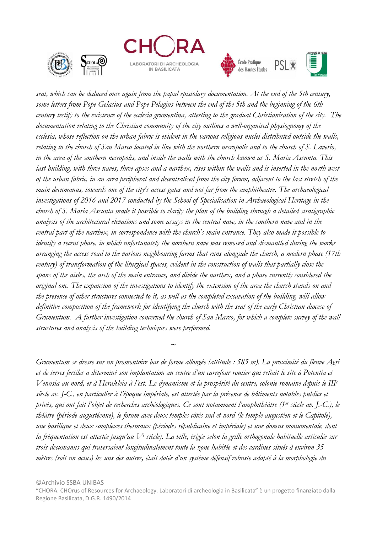







**PSL** 

*seat, which can be deduced once again from the papal epistolary documentation. At the end of the 5th century, some letters from Pope Gelasius and Pope Pelagius between the end of the 5th and the beginning of the 6th century testify to the existence of the ecclesia grumentina, attesting to the gradual Christianisation of the city. The documentation relating to the Christian community of the city outlines a well-organised physiognomy of the ecclesia, whose reflection on the urban fabric is evident in the various religious nuclei distributed outside the walls, relating to the church of San Marco located in line with the northern necropolis and to the church of S. Laverio, in the area of the southern necropolis, and inside the walls with the church known as S. Maria Assunta. This last building, with three naves, three apses and a narthex, rises within the walls and is inserted in the north-west of the urban fabric, in an area peripheral and decentralised from the city forum, adjacent to the last stretch of the main decumanus, towards one of the city's access gates and not far from the amphitheatre. The archaeological investigations of 2016 and 2017 conducted by the School of Specialisation in Archaeological Heritage in the church of S. Maria Assunta made it possible to clarify the plan of the building through a detailed stratigraphic analysis of the architectural elevations and some assays in the central nave, in the southern nave and in the central part of the narthex, in correspondence with the church's main entrance. They also made it possible to identify a recent phase, in which unfortunately the northern nave was removed and dismantled during the works arranging the access road to the various neighbouring farms that runs alongside the church, a modern phase (17th century) of transformation of the liturgical spaces, evident in the construction of walls that partially close the spans of the aisles, the arch of the main entrance, and divide the narthex, and a phase currently considered the original one. The expansion of the investigations to identify the extension of the area the church stands on and the presence of other structures connected to it, as well as the completed excavation of the building, will allow definitive composition of the framework for identifying the church with the seat of the early Christian diocese of Grumentum. A further investigation concerned the church of San Marco, for which a complete survey of the wall structures and analysis of the building techniques were performed.*

*Grumentum se dresse sur un promontoire bas de forme allongée (altitude : 585 m). La proximité du fleuve Agri et de terres fertiles a déterminé son implantation au centre d'un carrefour routier qui reliait le site à Potentia et Venusia au nord, et à Herakleia à l'est. Le dynamisme et la prospérité du centre, colonie romaine depuis le III<sup>e</sup> siècle av. J-C., en particulier à l'époque impériale, est attestée par la présence de bâtiments notables publics et privés, qui ont fait l'objet de recherches archéologiques. Ce sont notamment l'amphithéâtre (1er siècle av. J.-C.), le théâtre (période augustéenne), le forum avec deux temples côtés sud et nord (le temple augustéen et le Capitole), une basilique et deux complexes thermaux (périodes républicaine et impériale) et une domus monumentale, dont la fréquentation est attestée jusqu'au V<sup>e</sup> siècle). La ville, érigée selon la grille orthogonale habituelle articulée sur trois decumanus qui traversaient longitudinalement toute la zone habitée et des cardines situés à environ 35 mètres (soit un actus) les uns des autres, était dotée d'un système défensif robuste adapté à la morphologie du* 

©Archivio SSBA UNIBAS

 **<sup>~</sup>**

"CHORA. CHOrus of Resources for Archaeology. Laboratori di archeologia in Basilicata" è un progetto finanziato dalla Regione Basilicata, D.G.R. 1490/2014